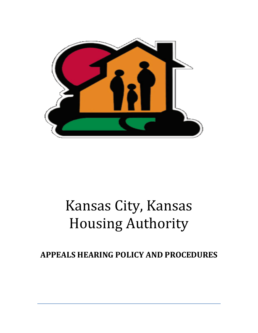

# Kansas City, Kansas Housing Authority

## **APPEALS HEARING POLICY AND PROCEDURES**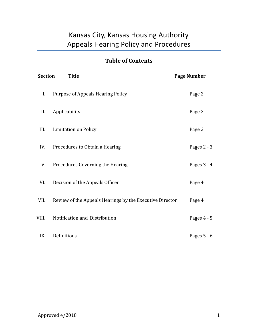## Kansas City, Kansas Housing Authority Appeals Hearing Policy and Procedures

### **Table of Contents**

| <b>Section</b><br><b>Title</b> |                                                          | <b>Page Number</b> |
|--------------------------------|----------------------------------------------------------|--------------------|
| I.                             | Purpose of Appeals Hearing Policy                        | Page 2             |
| II.                            | Applicability                                            | Page 2             |
| III.                           | <b>Limitation on Policy</b>                              | Page 2             |
| IV.                            | Procedures to Obtain a Hearing                           | Pages $2 - 3$      |
| V.                             | Procedures Governing the Hearing                         | Pages 3 - 4        |
| VI.                            | Decision of the Appeals Officer                          | Page 4             |
| VII.                           | Review of the Appeals Hearings by the Executive Director | Page 4             |
| VIII.                          | Notification and Distribution                            | Pages 4 - 5        |
| IX.                            | Definitions                                              | Pages $5 - 6$      |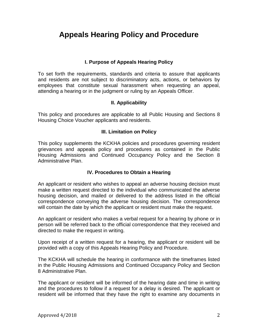## **Appeals Hearing Policy and Procedure**

#### **I. Purpose of Appeals Hearing Policy**

To set forth the requirements, standards and criteria to assure that applicants and residents are not subject to discriminatory acts, actions, or behaviors by employees that constitute sexual harassment when requesting an appeal, attending a hearing or in the judgment or ruling by an Appeals Officer.

#### **II. Applicability**

This policy and procedures are applicable to all Public Housing and Sections 8 Housing Choice Voucher applicants and residents.

#### **III. Limitation on Policy**

This policy supplements the KCKHA policies and procedures governing resident grievances and appeals policy and procedures as contained in the Public Housing Admissions and Continued Occupancy Policy and the Section 8 Administrative Plan.

#### **IV. Procedures to Obtain a Hearing**

An applicant or resident who wishes to appeal an adverse housing decision must make a written request directed to the individual who communicated the adverse housing decision, and mailed or delivered to the address listed in the official correspondence conveying the adverse housing decision. The correspondence will contain the date by which the applicant or resident must make the request.

An applicant or resident who makes a verbal request for a hearing by phone or in person will be referred back to the official correspondence that they received and directed to make the request in writing.

Upon receipt of a written request for a hearing, the applicant or resident will be provided with a copy of this Appeals Hearing Policy and Procedure.

The KCKHA will schedule the hearing in conformance with the timeframes listed in the Public Housing Admissions and Continued Occupancy Policy and Section 8 Administrative Plan.

The applicant or resident will be informed of the hearing date and time in writing and the procedures to follow if a request for a delay is desired. The applicant or resident will be informed that they have the right to examine any documents in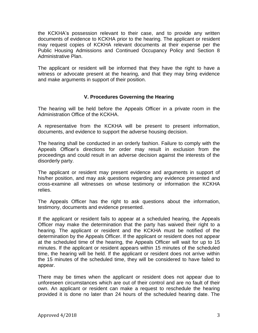the KCKHA's possession relevant to their case, and to provide any written documents of evidence to KCKHA prior to the hearing. The applicant or resident may request copies of KCKHA relevant documents at their expense per the Public Housing Admissions and Continued Occupancy Policy and Section 8 Administrative Plan.

The applicant or resident will be informed that they have the right to have a witness or advocate present at the hearing, and that they may bring evidence and make arguments in support of their position.

#### **V. Procedures Governing the Hearing**

The hearing will be held before the Appeals Officer in a private room in the Administration Office of the KCKHA.

A representative from the KCKHA will be present to present information, documents, and evidence to support the adverse housing decision.

The hearing shall be conducted in an orderly fashion. Failure to comply with the Appeals Officer's directions for order may result in exclusion from the proceedings and could result in an adverse decision against the interests of the disorderly party.

The applicant or resident may present evidence and arguments in support of his/her position, and may ask questions regarding any evidence presented and cross-examine all witnesses on whose testimony or information the KCKHA relies.

The Appeals Officer has the right to ask questions about the information, testimony, documents and evidence presented.

If the applicant or resident fails to appear at a scheduled hearing, the Appeals Officer may make the determination that the party has waived their right to a hearing. The applicant or resident and the KCKHA must be notified of the determination by the Appeals Officer. If the applicant or resident does not appear at the scheduled time of the hearing, the Appeals Officer will wait for up to 15 minutes. If the applicant or resident appears within 15 minutes of the scheduled time, the hearing will be held. If the applicant or resident does not arrive within the 15 minutes of the scheduled time, they will be considered to have failed to appear.

There may be times when the applicant or resident does not appear due to unforeseen circumstances which are out of their control and are no fault of their own. An applicant or resident can make a request to reschedule the hearing provided it is done no later than 24 hours of the scheduled hearing date. The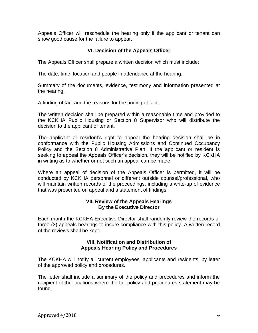Appeals Officer will reschedule the hearing only if the applicant or tenant can show good cause for the failure to appear.

#### **VI. Decision of the Appeals Officer**

The Appeals Officer shall prepare a written decision which must include:

The date, time, location and people in attendance at the hearing.

Summary of the documents, evidence, testimony and information presented at the hearing.

A finding of fact and the reasons for the finding of fact.

The written decision shall be prepared within a reasonable time and provided to the KCKHA Public Housing or Section 8 Supervisor who will distribute the decision to the applicant or tenant.

The applicant or resident's right to appeal the hearing decision shall be in conformance with the Public Housing Admissions and Continued Occupancy Policy and the Section 8 Administrative Plan. If the applicant or resident is seeking to appeal the Appeals Officer's decision, they will be notified by KCKHA in writing as to whether or not such an appeal can be made.

Where an appeal of decision of the Appeals Officer is permitted, it will be conducted by KCKHA personnel or different outside counsel/professional, who will maintain written records of the proceedings, including a write-up of evidence that was presented on appeal and a statement of findings.

#### **VII. Review of the Appeals Hearings By the Executive Director**

Each month the KCKHA Executive Director shall randomly review the records of three (3) appeals hearings to insure compliance with this policy. A written record of the reviews shall be kept.

#### **VIII. Notification and Distribution of Appeals Hearing Policy and Procedures**

The KCKHA will notify all current employees, applicants and residents, by letter of the approved policy and procedures.

The letter shall include a summary of the policy and procedures and inform the recipient of the locations where the full policy and procedures statement may be found.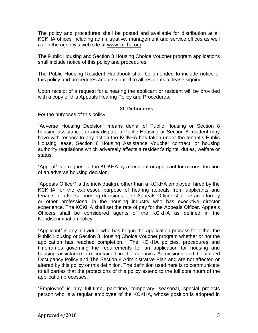The policy and procedures shall be posted and available for distribution at all KCKHA offices including administrative, management and service offices as well as on the agency's web site at [www.kckha.org.](http://www.kckha.org/)

The Public Housing and Section 8 Housing Choice Voucher program applications shall include notice of this policy and procedures.

The Public Housing Resident Handbook shall be amended to include notice of this policy and procedures and distributed to all residents at lease signing.

Upon receipt of a request for a hearing the applicant or resident will be provided with a copy of this Appeals Hearing Policy and Procedures.

#### **XI. Definitions**

For the purposes of this policy:

"Adverse Housing Decision" means denial of Public Housing or Section 8 housing assistance; or any dispute a Public Housing or Section 8 resident may have with respect to any action the KCKHA has taken under the tenant's Public Housing lease, Section 8 Housing Assistance Voucher contract, or housing authority regulations which adversely affects a resident's rights, duties, welfare or status.

"Appeal" is a request to the KCKHA by a resident or applicant for reconsideration of an adverse housing decision.

"Appeals Officer" is the individual(s), other than a KCKHA employee, hired by the KCKHA for the expressed purpose of hearing appeals from applicants and tenants of adverse housing decisions. The Appeals Officer shall be an attorney or other professional in the housing industry who has executive director experience. The KCKHA shall set the rate of pay for the Appeals Officer. Appeals Officers shall be considered agents of the KCKHA as defined in the Nondiscrimination policy.

"Applicant" is any individual who has begun the application process for either the Public Housing or Section 8 Housing Choice Voucher program whether or not the application has reached completion. The KCKHA policies, procedures and timeframes governing the requirements for an application for housing and housing assistance are contained in the agency's Admissions and Continued Occupancy Policy and The Section 8 Administrative Plan and are not affected or altered by this policy or this definition. The definition used here is to communicate to all parties that the protections of this policy extend to the full continuum of the application processes.

"Employee" is any full-time, part-time, temporary, seasonal, special projects person who is a regular employee of the KCKHA, whose position is adopted in